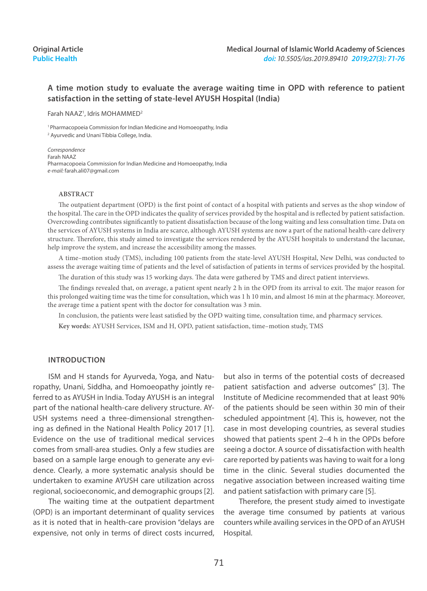## **A time motion study to evaluate the average waiting time in OPD with reference to patient satisfaction in the setting of state-level AYUSH Hospital (India)**

Farah NAAZ<sup>1</sup>, Idris MOHAMMED<sup>2</sup>

<sup>1</sup> Pharmacopoeia Commission for Indian Medicine and Homoeopathy, India 2 Ayurvedic and Unani Tibbia College, India.

*Correspondence* Farah NAAZ Pharmacopoeia Commission for Indian Medicine and Homoeopathy, India *e-mail:* farah.ali07@gmail.com

#### **ABSTRACT**

The outpatient department (OPD) is the first point of contact of a hospital with patients and serves as the shop window of the hospital. The care in the OPD indicates the quality of services provided by the hospital and is reflected by patient satisfaction. Overcrowding contributes significantly to patient dissatisfaction because of the long waiting and less consultation time. Data on the services of AYUSH systems in India are scarce, although AYUSH systems are now a part of the national health-care delivery structure. Therefore, this study aimed to investigate the services rendered by the AYUSH hospitals to understand the lacunae, help improve the system, and increase the accessibility among the masses.

A time–motion study (TMS), including 100 patients from the state-level AYUSH Hospital, New Delhi, was conducted to assess the average waiting time of patients and the level of satisfaction of patients in terms of services provided by the hospital.

The duration of this study was 15 working days. The data were gathered by TMS and direct patient interviews.

The findings revealed that, on average, a patient spent nearly 2 h in the OPD from its arrival to exit. The major reason for this prolonged waiting time was the time for consultation, which was 1 h 10 min, and almost 16 min at the pharmacy. Moreover, the average time a patient spent with the doctor for consultation was 3 min.

In conclusion, the patients were least satisfied by the OPD waiting time, consultation time, and pharmacy services.

**Key words:** AYUSH Services, ISM and H, OPD, patient satisfaction, time–motion study, TMS

#### **Introductıon**

ISM and H stands for Ayurveda, Yoga, and Naturopathy, Unani, Siddha, and Homoeopathy jointly referred to as AYUSH in India. Today AYUSH is an integral part of the national health-care delivery structure. AY-USH systems need a three-dimensional strengthening as defined in the National Health Policy 2017 [1]. Evidence on the use of traditional medical services comes from small-area studies. Only a few studies are based on a sample large enough to generate any evidence. Clearly, a more systematic analysis should be undertaken to examine AYUSH care utilization across regional, socioeconomic, and demographic groups [2].

The waiting time at the outpatient department (OPD) is an important determinant of quality services as it is noted that in health-care provision "delays are expensive, not only in terms of direct costs incurred, but also in terms of the potential costs of decreased patient satisfaction and adverse outcomes" [3]. The Institute of Medicine recommended that at least 90% of the patients should be seen within 30 min of their scheduled appointment [4]. This is, however, not the case in most developing countries, as several studies showed that patients spent 2–4 h in the OPDs before seeing a doctor. A source of dissatisfaction with health care reported by patients was having to wait for a long time in the clinic. Several studies documented the negative association between increased waiting time and patient satisfaction with primary care [5].

Therefore, the present study aimed to investigate the average time consumed by patients at various counters while availing services in the OPD of an AYUSH Hospital.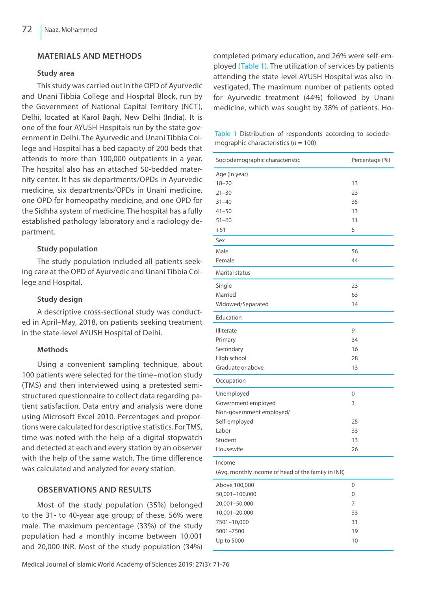## **Materials and Methods**

### **Study area**

This study was carried out in the OPD of Ayurvedic and Unani Tibbia College and Hospital Block, run by the Government of National Capital Territory (NCT), Delhi, located at Karol Bagh, New Delhi (India). It is one of the four AYUSH Hospitals run by the state government in Delhi. The Ayurvedic and Unani Tibbia College and Hospital has a bed capacity of 200 beds that attends to more than 100,000 outpatients in a year. The hospital also has an attached 50-bedded maternity center. It has six departments/OPDs in Ayurvedic medicine, six departments/OPDs in Unani medicine, one OPD for homeopathy medicine, and one OPD for the Sidhha system of medicine. The hospital has a fully established pathology laboratory and a radiology department.

## **Study population**

The study population included all patients seeking care at the OPD of Ayurvedic and Unani Tibbia College and Hospital.

### **Study design**

A descriptive cross-sectional study was conducted in April–May, 2018, on patients seeking treatment in the state-level AYUSH Hospital of Delhi.

### **Methods**

Using a convenient sampling technique, about 100 patients were selected for the time–motion study (TMS) and then interviewed using a pretested semistructured questionnaire to collect data regarding patient satisfaction. Data entry and analysis were done using Microsoft Excel 2010. Percentages and proportions were calculated for descriptive statistics. For TMS, time was noted with the help of a digital stopwatch and detected at each and every station by an observer with the help of the same watch. The time difference was calculated and analyzed for every station.

### **Observations and results**

Most of the study population (35%) belonged to the 31- to 40-year age group; of these, 56% were male. The maximum percentage (33%) of the study population had a monthly income between 10,001 and 20,000 INR. Most of the study population (34%)

Medical Journal of Islamic World Academy of Sciences 2019; 27(3): 71-76

completed primary education, and 26% were self-employed (Table 1). The utilization of services by patients attending the state-level AYUSH Hospital was also investigated. The maximum number of patients opted for Ayurvedic treatment (44%) followed by Unani medicine, which was sought by 38% of patients. Ho-

Table 1 Distribution of respondents according to sociodemographic characteristics (*n* = 100)

| Sociodemographic characteristic                    | Percentage (%) |
|----------------------------------------------------|----------------|
| Age (in year)                                      |                |
| $18 - 20$                                          | 13             |
| $21 - 30$                                          | 23             |
| $31 - 40$                                          | 35             |
| $41 - 50$                                          | 13             |
| $51 - 60$                                          | 11             |
| $+61$                                              | 5              |
| Sex                                                |                |
| Male                                               | 56             |
| Female                                             | 44             |
| Marital status                                     |                |
| Single                                             | 23             |
| Married                                            | 63             |
| Widowed/Separated                                  | 14             |
| Education                                          |                |
| Illiterate                                         | 9              |
| Primary                                            | 34             |
| Secondary                                          | 16             |
| High school                                        | 28             |
| Graduate or above                                  | 13             |
| Occupation                                         |                |
| Unemployed                                         | $\mathbf 0$    |
| Government employed                                | 3              |
| Non-government employed/                           |                |
| Self-employed                                      | 25             |
| Labor                                              | 33             |
| Student                                            | 13             |
| Housewife                                          | 26             |
| Income                                             |                |
| (Avg. monthly income of head of the family in INR) |                |
| Above 100,000                                      | $\overline{0}$ |
| 50,001-100,000                                     | 0              |
| 20,001-50,000                                      | 7              |
| 10,001-20,000                                      | 33             |
| 7501-10,000                                        | 31             |
| 5001-7500                                          | 19             |
| Up to 5000                                         | 10             |
|                                                    |                |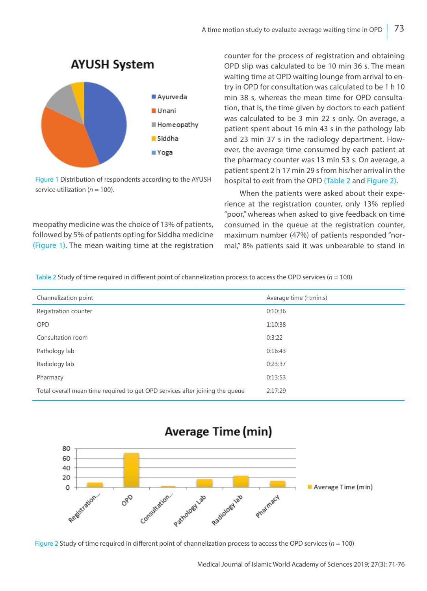

Figure 1 Distribution of respondents according to the AYUSH service utilization ( $n = 100$ ).

meopathy medicine was the choice of 13% of patients, followed by 5% of patients opting for Siddha medicine (Figure 1). The mean waiting time at the registration counter for the process of registration and obtaining OPD slip was calculated to be 10 min 36 s. The mean waiting time at OPD waiting lounge from arrival to entry in OPD for consultation was calculated to be 1 h 10 min 38 s, whereas the mean time for OPD consultation, that is, the time given by doctors to each patient was calculated to be 3 min 22 s only. On average, a patient spent about 16 min 43 s in the pathology lab and 23 min 37 s in the radiology department. However, the average time consumed by each patient at the pharmacy counter was 13 min 53 s. On average, a patient spent 2 h 17 min 29 s from his/her arrival in the hospital to exit from the OPD (Table 2 and Figure 2).

When the patients were asked about their experience at the registration counter, only 13% replied "poor," whereas when asked to give feedback on time consumed in the queue at the registration counter, maximum number (47%) of patients responded "normal," 8% patients said it was unbearable to stand in

|  |  | Table 2 Study of time required in different point of channelization process to access the OPD services ( $n = 100$ ) |  |
|--|--|----------------------------------------------------------------------------------------------------------------------|--|
|--|--|----------------------------------------------------------------------------------------------------------------------|--|

| Channelization point                                                         | Average time (h:min:s) |
|------------------------------------------------------------------------------|------------------------|
| Registration counter                                                         | 0:10:36                |
| <b>OPD</b>                                                                   | 1:10:38                |
| Consultation room                                                            | 0:3:22                 |
| Pathology lab                                                                | 0:16:43                |
| Radiology lab                                                                | 0:23:37                |
| Pharmacy                                                                     | 0:13:53                |
| Total overall mean time required to get OPD services after joining the queue | 2:17:29                |





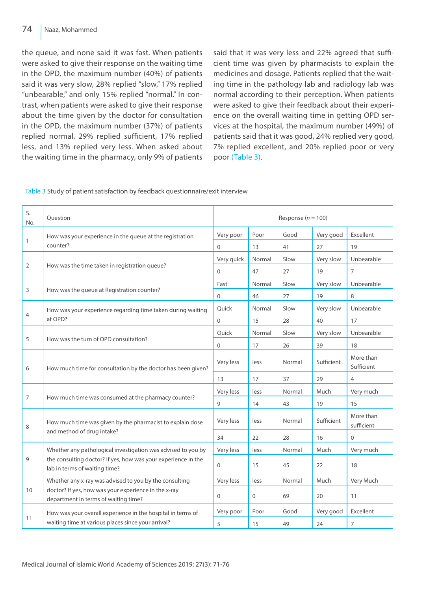the queue, and none said it was fast. When patients were asked to give their response on the waiting time in the OPD, the maximum number (40%) of patients said it was very slow, 28% replied "slow," 17% replied "unbearable," and only 15% replied "normal." In contrast, when patients were asked to give their response about the time given by the doctor for consultation in the OPD, the maximum number (37%) of patients replied normal, 29% replied sufficient, 17% replied less, and 13% replied very less. When asked about the waiting time in the pharmacy, only 9% of patients said that it was very less and 22% agreed that sufficient time was given by pharmacists to explain the medicines and dosage. Patients replied that the waiting time in the pathology lab and radiology lab was normal according to their perception. When patients were asked to give their feedback about their experience on the overall waiting time in getting OPD services at the hospital, the maximum number (49%) of patients said that it was good, 24% replied very good, 7% replied excellent, and 20% replied poor or very poor (Table 3).

| S.<br>No.      | Ouestion                                                                                                                                                       | Response ( $n = 100$ ) |          |        |            |                         |
|----------------|----------------------------------------------------------------------------------------------------------------------------------------------------------------|------------------------|----------|--------|------------|-------------------------|
| 1              | How was your experience in the queue at the registration<br>counter?                                                                                           | Very poor              | Poor     | Good   | Very good  | Excellent               |
|                |                                                                                                                                                                | $\Omega$               | 13       | 41     | 27         | 19                      |
| 2              | How was the time taken in registration queue?                                                                                                                  | Very quick             | Normal   | Slow   | Very slow  | Unbearable              |
|                |                                                                                                                                                                | $\Omega$               | 47       | 27     | 19         | $\overline{7}$          |
| 3              | How was the queue at Registration counter?                                                                                                                     | Fast                   | Normal   | Slow   | Very slow  | Unbearable              |
|                |                                                                                                                                                                | $\Omega$               | 46       | 27     | 19         | 8                       |
| 4              | How was your experience regarding time taken during waiting<br>at OPD?                                                                                         | Quick                  | Normal   | Slow   | Very slow  | Unbearable              |
|                |                                                                                                                                                                | $\Omega$               | 15       | 28     | 40         | 17                      |
| 5              | How was the turn of OPD consultation?                                                                                                                          | Quick                  | Normal   | Slow   | Very slow  | Unbearable              |
|                |                                                                                                                                                                | $\Omega$               | 17       | 26     | 39         | 18                      |
| 6              | How much time for consultation by the doctor has been given?                                                                                                   | Very less              | less     | Normal | Sufficient | More than<br>Sufficient |
|                |                                                                                                                                                                | 13                     | 17       | 37     | 29         | $\overline{4}$          |
| $\overline{7}$ | How much time was consumed at the pharmacy counter?                                                                                                            | Very less              | less     | Normal | Much       | Very much               |
|                |                                                                                                                                                                | 9                      | 14       | 43     | 19         | 15                      |
| 8              | How much time was given by the pharmacist to explain dose<br>and method of drug intake?                                                                        | Very less              | less     | Normal | Sufficient | More than<br>sufficient |
|                |                                                                                                                                                                | 34                     | 22       | 28     | 16         | $\Omega$                |
|                | Whether any pathological investigation was advised to you by<br>the consulting doctor? If yes, how was your experience in the<br>lab in terms of waiting time? | Very less              | less     | Normal | Much       | Very much               |
| 9              |                                                                                                                                                                | $\Omega$               | 15       | 45     | 22         | 18                      |
|                | Whether any x-ray was advised to you by the consulting<br>doctor? If yes, how was your experience in the x-ray<br>department in terms of waiting time?         | Very less              | less     | Normal | Much       | Very Much               |
| 10             |                                                                                                                                                                | $\Omega$               | $\Omega$ | 69     | 20         | 11                      |
|                | How was your overall experience in the hospital in terms of<br>waiting time at various places since your arrival?                                              | Very poor              | Poor     | Good   | Very good  | Excellent               |
| 11             |                                                                                                                                                                | 5                      | 15       | 49     | 24         | $\overline{7}$          |

Table 3 Study of patient satisfaction by feedback questionnaire/exit interview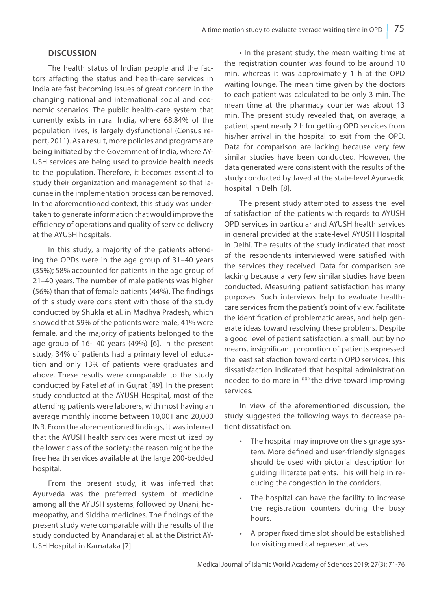#### **Discussion**

The health status of Indian people and the factors affecting the status and health-care services in India are fast becoming issues of great concern in the changing national and international social and economic scenarios. The public health-care system that currently exists in rural India, where 68.84% of the population lives, is largely dysfunctional (Census report, 2011). As a result, more policies and programs are being initiated by the Government of India, where AY-USH services are being used to provide health needs to the population. Therefore, it becomes essential to study their organization and management so that lacunae in the implementation process can be removed. In the aforementioned context, this study was undertaken to generate information that would improve the efficiency of operations and quality of service delivery at the AYUSH hospitals.

In this study, a majority of the patients attending the OPDs were in the age group of 31–40 years (35%); 58% accounted for patients in the age group of 21–40 years. The number of male patients was higher (56%) than that of female patients (44%). The findings of this study were consistent with those of the study conducted by Shukla et al. in Madhya Pradesh, which showed that 59% of the patients were male, 41% were female, and the majority of patients belonged to the age group of 16-–40 years (49%) [6]. In the present study, 34% of patients had a primary level of education and only 13% of patients were graduates and above. These results were comparable to the study conducted by Patel *et al.* in Gujrat [49]. In the present study conducted at the AYUSH Hospital, most of the attending patients were laborers, with most having an average monthly income between 10,001 and 20,000 INR. From the aforementioned findings, it was inferred that the AYUSH health services were most utilized by the lower class of the society; the reason might be the free health services available at the large 200-bedded hospital.

From the present study, it was inferred that Ayurveda was the preferred system of medicine among all the AYUSH systems, followed by Unani, homeopathy, and Siddha medicines. The findings of the present study were comparable with the results of the study conducted by Anandaraj et al. at the District AY-USH Hospital in Karnataka [7].

• In the present study, the mean waiting time at the registration counter was found to be around 10 min, whereas it was approximately 1 h at the OPD waiting lounge. The mean time given by the doctors to each patient was calculated to be only 3 min. The mean time at the pharmacy counter was about 13 min. The present study revealed that, on average, a patient spent nearly 2 h for getting OPD services from his/her arrival in the hospital to exit from the OPD. Data for comparison are lacking because very few similar studies have been conducted. However, the data generated were consistent with the results of the study conducted by Javed at the state-level Ayurvedic hospital in Delhi [8].

The present study attempted to assess the level of satisfaction of the patients with regards to AYUSH OPD services in particular and AYUSH health services in general provided at the state-level AYUSH Hospital in Delhi. The results of the study indicated that most of the respondents interviewed were satisfied with the services they received. Data for comparison are lacking because a very few similar studies have been conducted. Measuring patient satisfaction has many purposes. Such interviews help to evaluate healthcare services from the patient's point of view, facilitate the identification of problematic areas, and help generate ideas toward resolving these problems. Despite a good level of patient satisfaction, a small, but by no means, insignificant proportion of patients expressed the least satisfaction toward certain OPD services. This dissatisfaction indicated that hospital administration needed to do more in \*\*\*the drive toward improving services.

In view of the aforementioned discussion, the study suggested the following ways to decrease patient dissatisfaction:

- The hospital may improve on the signage system. More defined and user-friendly signages should be used with pictorial description for guiding illiterate patients. This will help in reducing the congestion in the corridors.
- The hospital can have the facility to increase the registration counters during the busy hours.
- A proper fixed time slot should be established for visiting medical representatives.